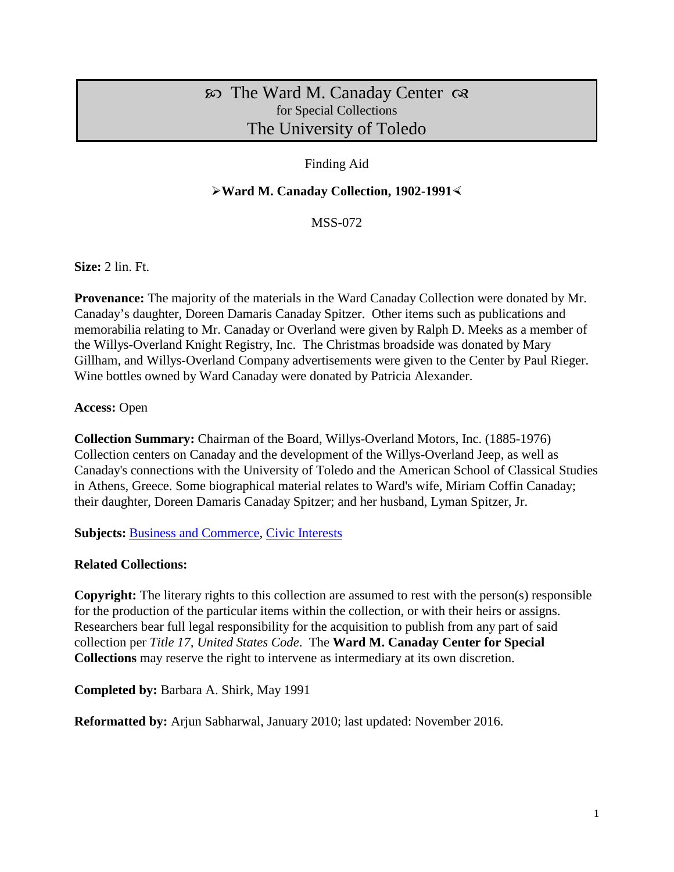# $\infty$  The Ward M. Canaday Center  $\infty$ for Special Collections The University of Toledo

# Finding Aid

## **Ward M. Canaday Collection, 1902-1991**

MSS-072

**Size:** 2 lin. Ft.

**Provenance:** The majority of the materials in the Ward Canaday Collection were donated by Mr. Canaday's daughter, Doreen Damaris Canaday Spitzer. Other items such as publications and memorabilia relating to Mr. Canaday or Overland were given by Ralph D. Meeks as a member of the Willys-Overland Knight Registry, Inc. The Christmas broadside was donated by Mary Gillham, and Willys-Overland Company advertisements were given to the Center by Paul Rieger. Wine bottles owned by Ward Canaday were donated by Patricia Alexander.

### **Access:** Open

**Collection Summary:** Chairman of the Board, Willys-Overland Motors, Inc. (1885-1976) Collection centers on Canaday and the development of the Willys-Overland Jeep, as well as Canaday's connections with the University of Toledo and the American School of Classical Studies in Athens, Greece. Some biographical material relates to Ward's wife, Miriam Coffin Canaday; their daughter, Doreen Damaris Canaday Spitzer; and her husband, Lyman Spitzer, Jr.

**Subjects:** [Business and Commerce,](http://www.utoledo.edu/library/canaday/guidepages/business.html) [Civic Interests](http://www.utoledo.edu/library/canaday/guidepages/civic.html)

## **Related Collections:**

**Copyright:** The literary rights to this collection are assumed to rest with the person(s) responsible for the production of the particular items within the collection, or with their heirs or assigns. Researchers bear full legal responsibility for the acquisition to publish from any part of said collection per *Title 17, United States Code*. The **Ward M. Canaday Center for Special Collections** may reserve the right to intervene as intermediary at its own discretion.

**Completed by:** Barbara A. Shirk, May 1991

**Reformatted by:** Arjun Sabharwal, January 2010; last updated: November 2016.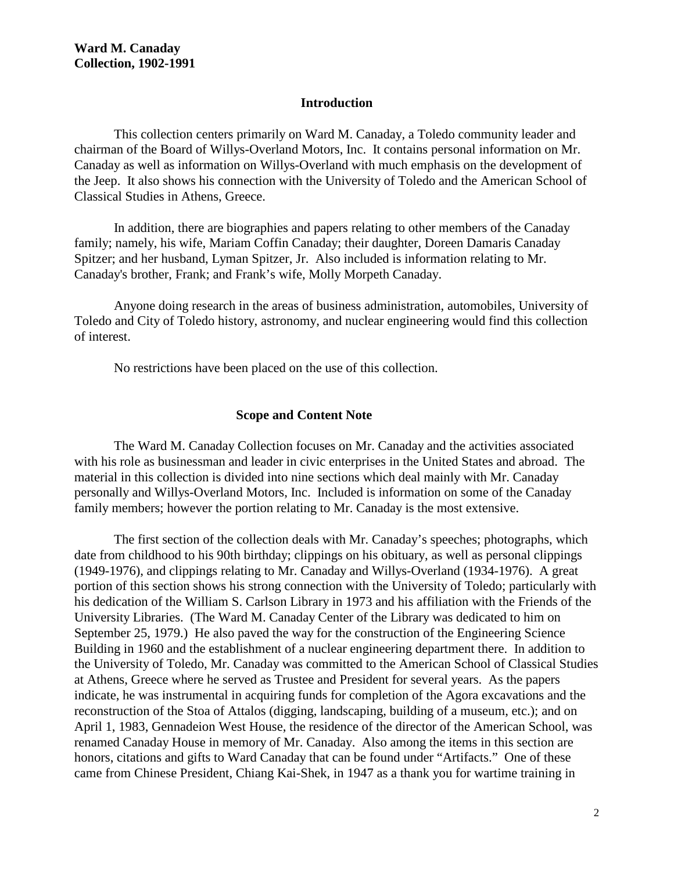### **Introduction**

This collection centers primarily on Ward M. Canaday, a Toledo community leader and chairman of the Board of Willys-Overland Motors, Inc. It contains personal information on Mr. Canaday as well as information on Willys-Overland with much emphasis on the development of the Jeep. It also shows his connection with the University of Toledo and the American School of Classical Studies in Athens, Greece.

In addition, there are biographies and papers relating to other members of the Canaday family; namely, his wife, Mariam Coffin Canaday; their daughter, Doreen Damaris Canaday Spitzer; and her husband, Lyman Spitzer, Jr. Also included is information relating to Mr. Canaday's brother, Frank; and Frank's wife, Molly Morpeth Canaday.

Anyone doing research in the areas of business administration, automobiles, University of Toledo and City of Toledo history, astronomy, and nuclear engineering would find this collection of interest.

No restrictions have been placed on the use of this collection.

#### **Scope and Content Note**

The Ward M. Canaday Collection focuses on Mr. Canaday and the activities associated with his role as businessman and leader in civic enterprises in the United States and abroad. The material in this collection is divided into nine sections which deal mainly with Mr. Canaday personally and Willys-Overland Motors, Inc. Included is information on some of the Canaday family members; however the portion relating to Mr. Canaday is the most extensive.

The first section of the collection deals with Mr. Canaday's speeches; photographs, which date from childhood to his 90th birthday; clippings on his obituary, as well as personal clippings (1949-1976), and clippings relating to Mr. Canaday and Willys-Overland (1934-1976). A great portion of this section shows his strong connection with the University of Toledo; particularly with his dedication of the William S. Carlson Library in 1973 and his affiliation with the Friends of the University Libraries. (The Ward M. Canaday Center of the Library was dedicated to him on September 25, 1979.) He also paved the way for the construction of the Engineering Science Building in 1960 and the establishment of a nuclear engineering department there. In addition to the University of Toledo, Mr. Canaday was committed to the American School of Classical Studies at Athens, Greece where he served as Trustee and President for several years. As the papers indicate, he was instrumental in acquiring funds for completion of the Agora excavations and the reconstruction of the Stoa of Attalos (digging, landscaping, building of a museum, etc.); and on April 1, 1983, Gennadeion West House, the residence of the director of the American School, was renamed Canaday House in memory of Mr. Canaday. Also among the items in this section are honors, citations and gifts to Ward Canaday that can be found under "Artifacts." One of these came from Chinese President, Chiang Kai-Shek, in 1947 as a thank you for wartime training in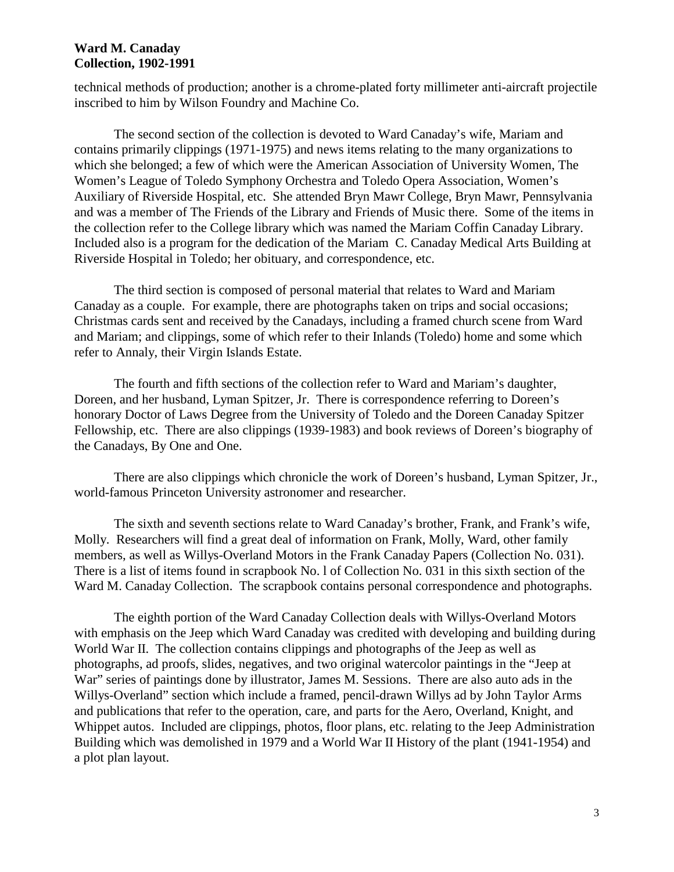### **Ward M. Canaday Collection, 1902-1991**

technical methods of production; another is a chrome-plated forty millimeter anti-aircraft projectile inscribed to him by Wilson Foundry and Machine Co.

The second section of the collection is devoted to Ward Canaday's wife, Mariam and contains primarily clippings (1971-1975) and news items relating to the many organizations to which she belonged; a few of which were the American Association of University Women, The Women's League of Toledo Symphony Orchestra and Toledo Opera Association, Women's Auxiliary of Riverside Hospital, etc. She attended Bryn Mawr College, Bryn Mawr, Pennsylvania and was a member of The Friends of the Library and Friends of Music there. Some of the items in the collection refer to the College library which was named the Mariam Coffin Canaday Library. Included also is a program for the dedication of the Mariam C. Canaday Medical Arts Building at Riverside Hospital in Toledo; her obituary, and correspondence, etc.

The third section is composed of personal material that relates to Ward and Mariam Canaday as a couple. For example, there are photographs taken on trips and social occasions; Christmas cards sent and received by the Canadays, including a framed church scene from Ward and Mariam; and clippings, some of which refer to their Inlands (Toledo) home and some which refer to Annaly, their Virgin Islands Estate.

The fourth and fifth sections of the collection refer to Ward and Mariam's daughter, Doreen, and her husband, Lyman Spitzer, Jr. There is correspondence referring to Doreen's honorary Doctor of Laws Degree from the University of Toledo and the Doreen Canaday Spitzer Fellowship, etc. There are also clippings (1939-1983) and book reviews of Doreen's biography of the Canadays, By One and One.

There are also clippings which chronicle the work of Doreen's husband, Lyman Spitzer, Jr., world-famous Princeton University astronomer and researcher.

The sixth and seventh sections relate to Ward Canaday's brother, Frank, and Frank's wife, Molly. Researchers will find a great deal of information on Frank, Molly, Ward, other family members, as well as Willys-Overland Motors in the Frank Canaday Papers (Collection No. 031). There is a list of items found in scrapbook No. l of Collection No. 031 in this sixth section of the Ward M. Canaday Collection. The scrapbook contains personal correspondence and photographs.

The eighth portion of the Ward Canaday Collection deals with Willys-Overland Motors with emphasis on the Jeep which Ward Canaday was credited with developing and building during World War II. The collection contains clippings and photographs of the Jeep as well as photographs, ad proofs, slides, negatives, and two original watercolor paintings in the "Jeep at War" series of paintings done by illustrator, James M. Sessions. There are also auto ads in the Willys-Overland" section which include a framed, pencil-drawn Willys ad by John Taylor Arms and publications that refer to the operation, care, and parts for the Aero, Overland, Knight, and Whippet autos. Included are clippings, photos, floor plans, etc. relating to the Jeep Administration Building which was demolished in 1979 and a World War II History of the plant (1941-1954) and a plot plan layout.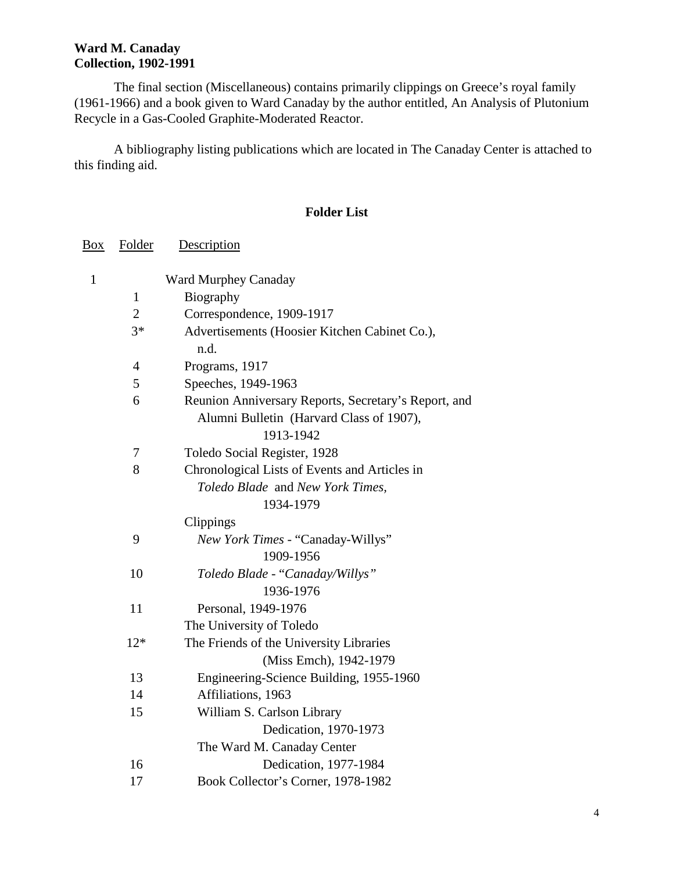# **Ward M. Canaday Collection, 1902-1991**

The final section (Miscellaneous) contains primarily clippings on Greece's royal family (1961-1966) and a book given to Ward Canaday by the author entitled, An Analysis of Plutonium Recycle in a Gas-Cooled Graphite-Moderated Reactor.

A bibliography listing publications which are located in The Canaday Center is attached to this finding aid.

# **Folder List**

| Box          | Folder         | Description                                           |
|--------------|----------------|-------------------------------------------------------|
| $\mathbf{1}$ |                | Ward Murphey Canaday                                  |
|              | $\mathbf{1}$   | Biography                                             |
|              | $\overline{2}$ | Correspondence, 1909-1917                             |
|              | $3*$           | Advertisements (Hoosier Kitchen Cabinet Co.),<br>n.d. |
|              | $\overline{4}$ | Programs, 1917                                        |
|              | 5              | Speeches, 1949-1963                                   |
|              | 6              | Reunion Anniversary Reports, Secretary's Report, and  |
|              |                | Alumni Bulletin (Harvard Class of 1907),              |
|              |                | 1913-1942                                             |
|              | 7              | Toledo Social Register, 1928                          |
|              | 8              | Chronological Lists of Events and Articles in         |
|              |                | Toledo Blade and New York Times,                      |
|              |                | 1934-1979                                             |
|              |                | Clippings                                             |
|              | 9              | New York Times - "Canaday-Willys"                     |
|              |                | 1909-1956                                             |
|              | 10             | Toledo Blade - "Canaday/Willys"                       |
|              |                | 1936-1976                                             |
|              | 11             | Personal, 1949-1976                                   |
|              |                | The University of Toledo                              |
|              | $12*$          | The Friends of the University Libraries               |
|              |                | (Miss Emch), 1942-1979                                |
|              | 13             | Engineering-Science Building, 1955-1960               |
|              | 14             | Affiliations, 1963                                    |
|              | 15             | William S. Carlson Library                            |
|              |                | Dedication, 1970-1973                                 |
|              |                | The Ward M. Canaday Center                            |
|              | 16             | Dedication, 1977-1984                                 |
|              | 17             | Book Collector's Corner, 1978-1982                    |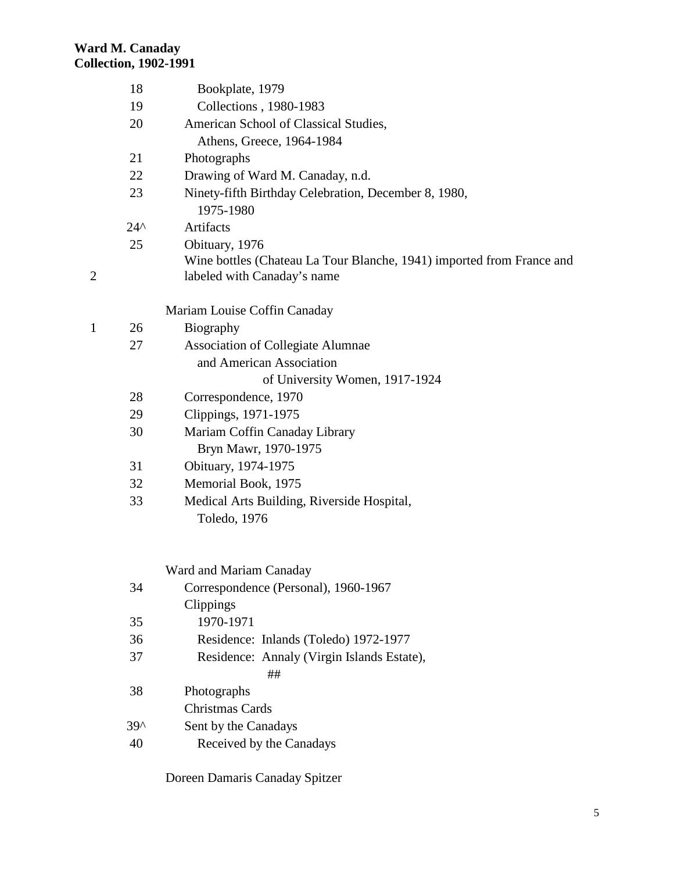# **Ward M. Canaday Collection, 1902-1991**

2

|   | 18            | Bookplate, 1979                                                       |
|---|---------------|-----------------------------------------------------------------------|
|   | 19            | Collections, 1980-1983                                                |
|   | 20            | American School of Classical Studies,                                 |
|   |               | Athens, Greece, 1964-1984                                             |
|   | 21            | Photographs                                                           |
|   | 22            | Drawing of Ward M. Canaday, n.d.                                      |
|   | 23            | Ninety-fifth Birthday Celebration, December 8, 1980,                  |
|   |               | 1975-1980                                                             |
|   | $24^{\wedge}$ | Artifacts                                                             |
|   | 25            | Obituary, 1976                                                        |
|   |               | Wine bottles (Chateau La Tour Blanche, 1941) imported from France and |
| 2 |               | labeled with Canaday's name                                           |
|   |               | Mariam Louise Coffin Canaday                                          |
| 1 | 26            | Biography                                                             |
|   | 27            | <b>Association of Collegiate Alumnae</b>                              |
|   |               | and American Association                                              |
|   |               | of University Women, 1917-1924                                        |
|   | 28            | Correspondence, 1970                                                  |
|   | 29            | Clippings, 1971-1975                                                  |
|   | 30            | Mariam Coffin Canaday Library                                         |
|   |               | Bryn Mawr, 1970-1975                                                  |
|   | 31            | Obituary, 1974-1975                                                   |
|   | 32            | Memorial Book, 1975                                                   |
|   | 33            | Medical Arts Building, Riverside Hospital,                            |
|   |               | Toledo, 1976                                                          |
|   |               |                                                                       |
|   |               | Ward and Mariam Canaday                                               |
|   | 34            | Correspondence (Personal), 1960-1967                                  |
|   |               | Clippings                                                             |
|   | 35            | 1970-1971                                                             |
|   | 36            | Residence: Inlands (Toledo) 1972-1977                                 |
|   | 37            | Residence: Annaly (Virgin Islands Estate),<br>##                      |
|   | 38            | Photographs                                                           |
|   |               | Christmas Cards                                                       |
|   | $39^$         | Sent by the Canadays                                                  |
|   | 40            | Received by the Canadays                                              |
|   |               |                                                                       |

Doreen Damaris Canaday Spitzer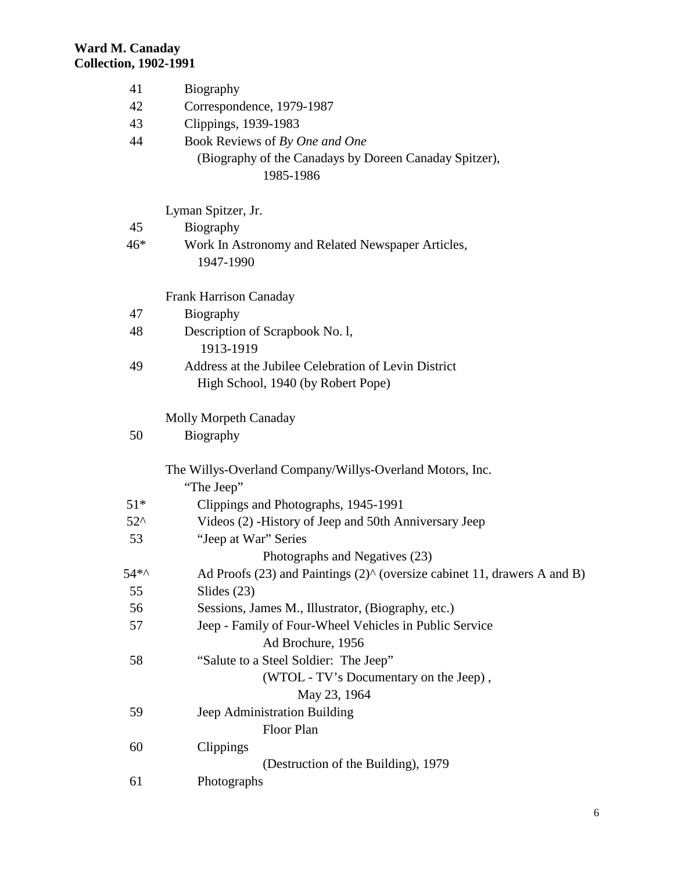| 41           | Biography                                                                                  |  |  |
|--------------|--------------------------------------------------------------------------------------------|--|--|
| 42           | Correspondence, 1979-1987                                                                  |  |  |
| 43           | Clippings, 1939-1983                                                                       |  |  |
| 44           | Book Reviews of By One and One                                                             |  |  |
|              | (Biography of the Canadays by Doreen Canaday Spitzer),<br>1985-1986                        |  |  |
|              | Lyman Spitzer, Jr.                                                                         |  |  |
| 45           | Biography                                                                                  |  |  |
| $46*$        | Work In Astronomy and Related Newspaper Articles,<br>1947-1990                             |  |  |
|              | <b>Frank Harrison Canaday</b>                                                              |  |  |
| 47           | Biography                                                                                  |  |  |
| 48           | Description of Scrapbook No. 1,<br>1913-1919                                               |  |  |
| 49           | Address at the Jubilee Celebration of Levin District<br>High School, 1940 (by Robert Pope) |  |  |
|              | <b>Molly Morpeth Canaday</b>                                                               |  |  |
| 50           | Biography                                                                                  |  |  |
|              | The Willys-Overland Company/Willys-Overland Motors, Inc.<br>"The Jeep"                     |  |  |
| $51*$        | Clippings and Photographs, 1945-1991                                                       |  |  |
| $52^{\circ}$ | Videos (2) - History of Jeep and 50th Anniversary Jeep                                     |  |  |
| 53           | "Jeep at War" Series                                                                       |  |  |
|              | Photographs and Negatives (23)                                                             |  |  |
| 54*^         | Ad Proofs $(23)$ and Paintings $(2)$ ^ (oversize cabinet 11, drawers A and B)              |  |  |
| 55           | Slides $(23)$                                                                              |  |  |
| 56           | Sessions, James M., Illustrator, (Biography, etc.)                                         |  |  |
| 57           | Jeep - Family of Four-Wheel Vehicles in Public Service                                     |  |  |
| 58           | Ad Brochure, 1956                                                                          |  |  |
|              | "Salute to a Steel Soldier: The Jeep"<br>(WTOL - TV's Documentary on the Jeep),            |  |  |
|              | May 23, 1964                                                                               |  |  |
| 59           | Jeep Administration Building                                                               |  |  |
|              | Floor Plan                                                                                 |  |  |
| 60           | Clippings                                                                                  |  |  |
|              | (Destruction of the Building), 1979                                                        |  |  |
| 61           | Photographs                                                                                |  |  |